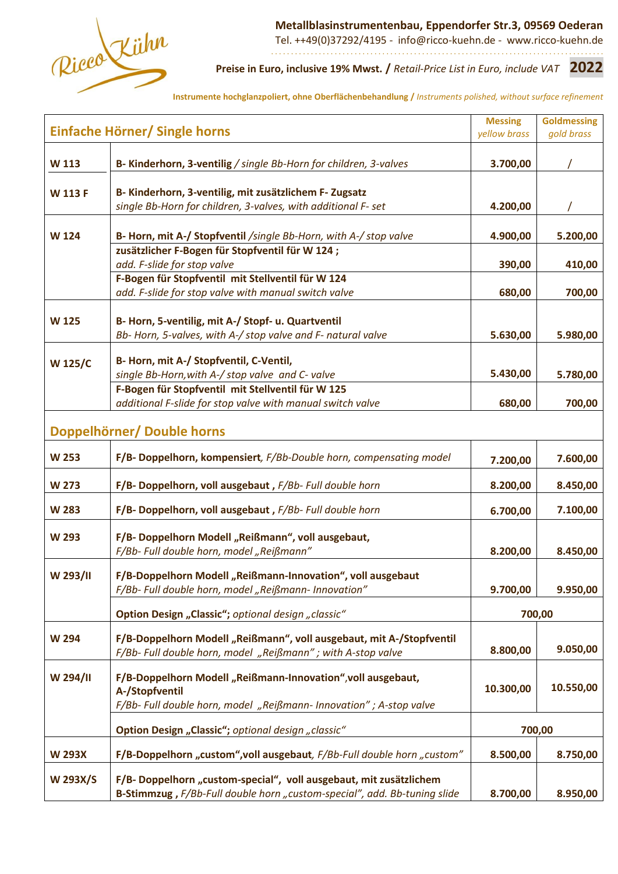

 **Metallblasinstrumentenbau, Eppendorfer Str.3, 09569 Oederan**

Tel. ++49(0)37292/4195 - info@ricco-kuehn.de - www.ricco-kuehn.de . . . . . . . . . . . . . . . . . . . . . . . . . . . . . . . . . . . . . . . . . . . . . . . . . . . . . . . . . . . . . . . . . . . . . . . . . . . . . . . . . . . .

#### **Preise in Euro, inclusive 19% Mwst. /** *Retail-Price List in Euro, include VAT* **2022**

**Instrumente hochglanzpoliert, ohne Oberflächenbehandlung /** *Instruments polished, without surface refinement*

| Einfache Hörner/ Single horns |                                                                                                                                                | <b>Messing</b><br>yellow brass | <b>Goldmessing</b><br>gold brass |
|-------------------------------|------------------------------------------------------------------------------------------------------------------------------------------------|--------------------------------|----------------------------------|
| W 113                         | B- Kinderhorn, 3-ventilig / single Bb-Horn for children, 3-valves                                                                              | 3.700,00                       |                                  |
|                               | B- Kinderhorn, 3-ventilig, mit zusätzlichem F- Zugsatz                                                                                         |                                |                                  |
| <b>W 113 F</b>                | single Bb-Horn for children, 3-valves, with additional F- set                                                                                  | 4.200,00                       |                                  |
| W 124                         | B- Horn, mit A-/ Stopfventil /single Bb-Horn, with A-/ stop valve                                                                              | 4.900,00                       | 5.200,00                         |
|                               | zusätzlicher F-Bogen für Stopfventil für W 124;                                                                                                |                                |                                  |
|                               | add. F-slide for stop valve                                                                                                                    | 390,00                         | 410,00                           |
|                               | F-Bogen für Stopfventil mit Stellventil für W 124                                                                                              |                                |                                  |
|                               | add. F-slide for stop valve with manual switch valve                                                                                           | 680,00                         | 700,00                           |
|                               |                                                                                                                                                |                                |                                  |
| <b>W125</b>                   | B- Horn, 5-ventilig, mit A-/ Stopf- u. Quartventil                                                                                             |                                |                                  |
|                               | Bb- Horn, 5-valves, with A-/ stop valve and F- natural valve                                                                                   | 5.630,00                       | 5.980,00                         |
|                               |                                                                                                                                                |                                |                                  |
| <b>W125/C</b>                 | B- Horn, mit A-/ Stopfventil, C-Ventil,<br>single Bb-Horn, with A-/ stop valve and C- valve                                                    | 5.430,00                       |                                  |
|                               | F-Bogen für Stopfventil mit Stellventil für W 125                                                                                              |                                | 5.780,00                         |
|                               | additional F-slide for stop valve with manual switch valve                                                                                     | 680,00                         | 700,00                           |
|                               |                                                                                                                                                |                                |                                  |
|                               | Doppelhörner/ Double horns                                                                                                                     |                                |                                  |
|                               |                                                                                                                                                |                                |                                  |
| <b>W 253</b>                  | F/B- Doppelhorn, kompensiert, F/Bb-Double horn, compensating model                                                                             | 7.200,00                       | 7.600,00                         |
| <b>W 273</b>                  | F/B- Doppelhorn, voll ausgebaut, F/Bb- Full double horn                                                                                        | 8.200,00                       | 8.450,00                         |
| <b>W 283</b>                  | F/B- Doppelhorn, voll ausgebaut, F/Bb- Full double horn                                                                                        | 6.700,00                       | 7.100,00                         |
| W 293                         | F/B- Doppelhorn Modell "Reißmann", voll ausgebaut,                                                                                             |                                |                                  |
|                               | F/Bb- Full double horn, model "Reißmann"                                                                                                       | 8.200,00                       |                                  |
|                               |                                                                                                                                                |                                | 8.450,00                         |
| W 293/II                      | F/B-Doppelhorn Modell "Reißmann-Innovation", voll ausgebaut                                                                                    |                                |                                  |
|                               | F/Bb- Full double horn, model "Reißmann- Innovation"                                                                                           | 9.700,00                       | 9.950,00                         |
|                               | Option Design "Classic"; optional design "classic"                                                                                             |                                | 700,00                           |
|                               |                                                                                                                                                |                                |                                  |
| <b>W 294</b>                  | F/B-Doppelhorn Modell "Reißmann", voll ausgebaut, mit A-/Stopfventil                                                                           |                                |                                  |
|                               | F/Bb- Full double horn, model "Reißmann"; with A-stop valve                                                                                    | 8.800,00                       | 9.050,00                         |
| W 294/II                      | F/B-Doppelhorn Modell "Reißmann-Innovation", voll ausgebaut,                                                                                   |                                |                                  |
|                               | A-/Stopfventil                                                                                                                                 | 10.300,00                      | 10.550,00                        |
|                               | F/Bb- Full double horn, model "Reißmann- Innovation"; A-stop valve                                                                             |                                |                                  |
|                               |                                                                                                                                                |                                |                                  |
|                               | Option Design "Classic"; optional design "classic"                                                                                             | 700,00                         |                                  |
| <b>W 293X</b>                 | F/B-Doppelhorn "custom", voll ausgebaut, F/Bb-Full double horn "custom"                                                                        | 8.500,00                       | 8.750,00                         |
|                               |                                                                                                                                                |                                |                                  |
| <b>W 293X/S</b>               | F/B- Doppelhorn "custom-special", voll ausgebaut, mit zusätzlichem<br>B-Stimmzug, F/Bb-Full double horn "custom-special", add. Bb-tuning slide | 8.700,00                       | 8.950,00                         |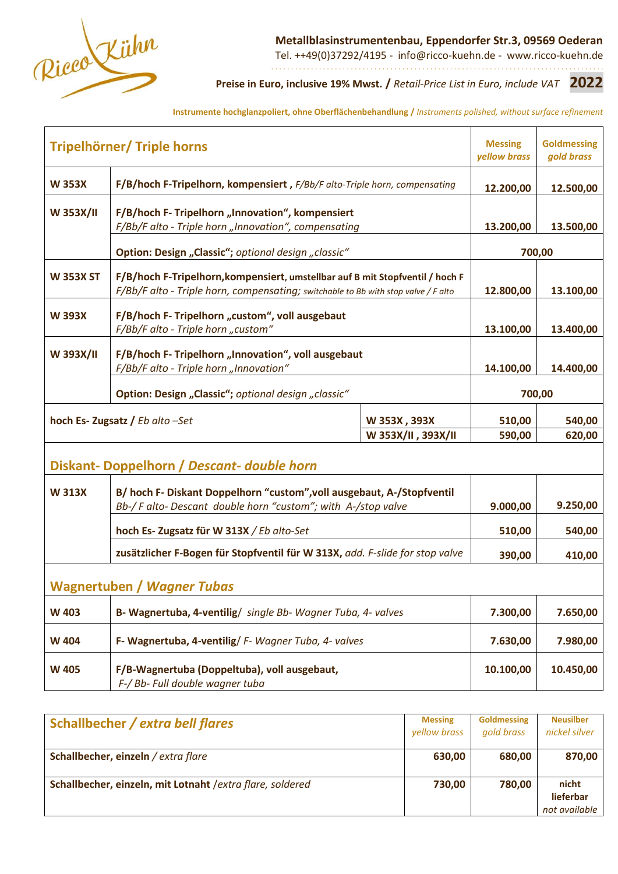

**Metallblasinstrumentenbau, Eppendorfer Str.3, 09569 Oederan**

Tel. ++49(0)37292/4195 - info@ricco-kuehn.de - www.ricco-kuehn.de . . . . . . . . . . . . . . . . . . . . . . . . . . . . . . . . . . . . . . . . . . . . . . . . . . . . . . . . . . . . . . . . . . . . . . . . . . . . . . . . . . . .

**Preise in Euro, inclusive 19% Mwst. /** *Retail-Price List in Euro, include VAT* **2022**

**Instrumente hochglanzpoliert, ohne Oberflächenbehandlung /** *Instruments polished, without surface refinement*

| <b>Tripelhörner/ Triple horns</b>                                    |                                                                                                                                                                     | <b>Messing</b><br>yellow brass | <b>Goldmessing</b><br>gold brass |           |
|----------------------------------------------------------------------|---------------------------------------------------------------------------------------------------------------------------------------------------------------------|--------------------------------|----------------------------------|-----------|
| <b>W 353X</b>                                                        | F/B/hoch F-Tripelhorn, kompensiert, F/Bb/F alto-Triple horn, compensating                                                                                           |                                |                                  | 12.500,00 |
| W 353X/II                                                            | F/B/hoch F- Tripelhorn "Innovation", kompensiert<br>F/Bb/F alto - Triple horn "Innovation", compensating                                                            |                                | 13.200,00                        | 13.500,00 |
|                                                                      | Option: Design "Classic"; optional design "classic"                                                                                                                 |                                | 700,00                           |           |
| <b>W 353X ST</b>                                                     | F/B/hoch F-Tripelhorn, kompensiert, umstellbar auf B mit Stopfventil / hoch F<br>F/Bb/F alto - Triple horn, compensating; switchable to Bb with stop valve / F alto |                                | 12.800,00                        | 13.100,00 |
| <b>W393X</b>                                                         | F/B/hoch F- Tripelhorn "custom", voll ausgebaut<br>F/Bb/F alto - Triple horn "custom"                                                                               |                                | 13.100,00                        | 13.400,00 |
| W 393X/II                                                            | F/B/hoch F- Tripelhorn "Innovation", voll ausgebaut<br>F/Bb/F alto - Triple horn "Innovation"                                                                       |                                | 14.100,00                        | 14.400,00 |
|                                                                      | Option: Design "Classic"; optional design "classic"                                                                                                                 |                                | 700,00                           |           |
| hoch Es-Zugsatz / Eb alto -Set<br>W 353X, 393X<br>W 353X/II, 393X/II |                                                                                                                                                                     | 510,00<br>590,00               | 540,00<br>620,00                 |           |
|                                                                      | Diskant-Doppelhorn / Descant-double horn                                                                                                                            |                                |                                  |           |
| <b>W313X</b>                                                         | B/ hoch F- Diskant Doppelhorn "custom", voll ausgebaut, A-/Stopfventil<br>Bb-/F alto-Descant double horn "custom"; with A-/stop valve                               |                                |                                  | 9.250,00  |
|                                                                      | hoch Es- Zugsatz für W 313X / Eb alto-Set                                                                                                                           |                                | 510,00                           | 540,00    |
|                                                                      | zusätzlicher F-Bogen für Stopfventil für W 313X, add. F-slide for stop valve                                                                                        |                                |                                  | 410,00    |
| <b>Wagnertuben / Wagner Tubas</b>                                    |                                                                                                                                                                     |                                |                                  |           |
| <b>W 403</b>                                                         | B- Wagnertuba, 4-ventilig/ single Bb- Wagner Tuba, 4- valves                                                                                                        |                                | 7.300,00                         | 7.650,00  |
| <b>W404</b>                                                          | F- Wagnertuba, 4-ventilig/ F- Wagner Tuba, 4- valves                                                                                                                |                                | 7.630,00                         | 7.980,00  |
| <b>W 405</b>                                                         | F/B-Wagnertuba (Doppeltuba), voll ausgebaut,<br>F-/ Bb- Full double wagner tuba                                                                                     |                                | 10.100,00                        | 10.450,00 |

| Schallbecher / extra bell flares                           | <b>Messing</b><br><b>vellow brass</b> | <b>Goldmessing</b><br>gold brass | <b>Neusilber</b><br>nickel silver   |
|------------------------------------------------------------|---------------------------------------|----------------------------------|-------------------------------------|
| Schallbecher, einzeln / extra flare                        | 630,00                                | 680,00                           | 870,00                              |
| Schallbecher, einzeln, mit Lotnaht / extra flare, soldered | 730,00                                | 780,00                           | nicht<br>lieferbar<br>not available |